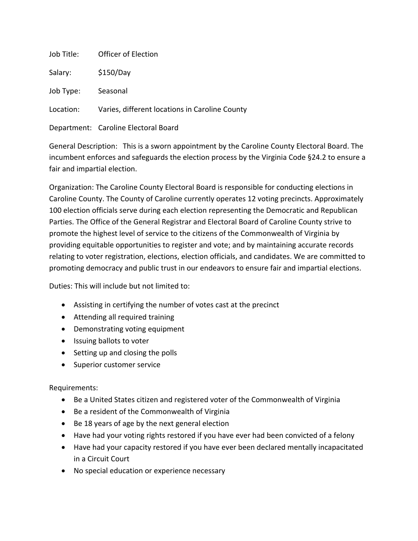| Job Title: | Officer of Election                            |
|------------|------------------------------------------------|
| Salary:    | \$150/Day                                      |
| Job Type:  | Seasonal                                       |
| Location:  | Varies, different locations in Caroline County |
|            | Department: Caroline Electoral Board           |

General Description: This is a sworn appointment by the Caroline County Electoral Board. The incumbent enforces and safeguards the election process by the Virginia Code §24.2 to ensure a fair and impartial election.

Organization: The Caroline County Electoral Board is responsible for conducting elections in Caroline County. The County of Caroline currently operates 12 voting precincts. Approximately 100 election officials serve during each election representing the Democratic and Republican Parties. The Office of the General Registrar and Electoral Board of Caroline County strive to promote the highest level of service to the citizens of the Commonwealth of Virginia by providing equitable opportunities to register and vote; and by maintaining accurate records relating to voter registration, elections, election officials, and candidates. We are committed to promoting democracy and public trust in our endeavors to ensure fair and impartial elections.

Duties: This will include but not limited to:

- Assisting in certifying the number of votes cast at the precinct
- Attending all required training
- Demonstrating voting equipment
- Issuing ballots to voter
- Setting up and closing the polls
- **•** Superior customer service

## Requirements:

- Be a United States citizen and registered voter of the Commonwealth of Virginia
- Be a resident of the Commonwealth of Virginia
- Be 18 years of age by the next general election
- Have had your voting rights restored if you have ever had been convicted of a felony
- Have had your capacity restored if you have ever been declared mentally incapacitated in a Circuit Court
- No special education or experience necessary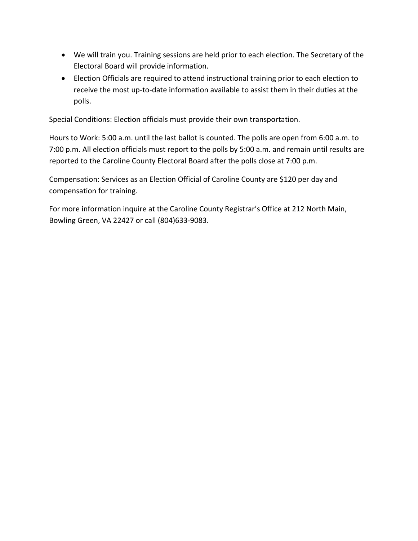- We will train you. Training sessions are held prior to each election. The Secretary of the Electoral Board will provide information.
- Election Officials are required to attend instructional training prior to each election to receive the most up-to-date information available to assist them in their duties at the polls.

Special Conditions: Election officials must provide their own transportation.

Hours to Work: 5:00 a.m. until the last ballot is counted. The polls are open from 6:00 a.m. to 7:00 p.m. All election officials must report to the polls by 5:00 a.m. and remain until results are reported to the Caroline County Electoral Board after the polls close at 7:00 p.m.

Compensation: Services as an Election Official of Caroline County are \$120 per day and compensation for training.

For more information inquire at the Caroline County Registrar's Office at 212 North Main, Bowling Green, VA 22427 or call (804)633‐9083.